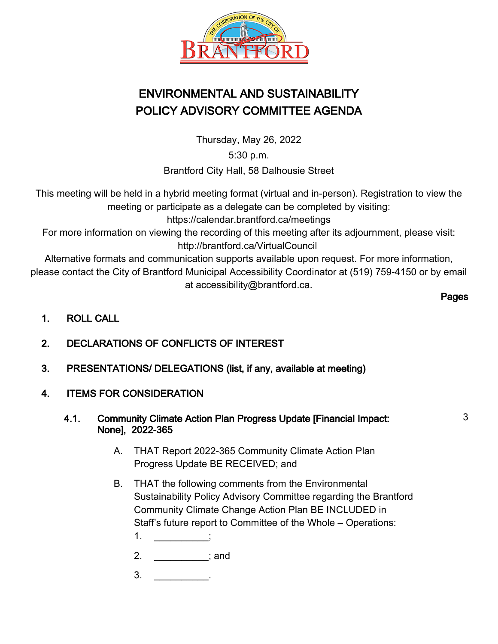

# ENVIRONMENTAL AND SUSTAINABILITY POLICY ADVISORY COMMITTEE AGENDA

Thursday, May 26, 2022

5:30 p.m.

Brantford City Hall, 58 Dalhousie Street

This meeting will be held in a hybrid meeting format (virtual and in-person). Registration to view the meeting or participate as a delegate can be completed by visiting: https://calendar.brantford.ca/meetings

For more information on viewing the recording of this meeting after its adjournment, please visit: http://brantford.ca/VirtualCouncil

Alternative formats and communication supports available upon request. For more information, please contact the City of Brantford Municipal Accessibility Coordinator at (519) 759-4150 or by email at accessibility@brantford.ca.

Pages

3

- 1. ROLL CALL
- 2. DECLARATIONS OF CONFLICTS OF INTEREST
- 3. PRESENTATIONS/ DELEGATIONS (list, if any, available at meeting)
- 4. ITEMS FOR CONSIDERATION
	- 4.1. Community Climate Action Plan Progress Update [Financial Impact: None], 2022-365
		- THAT Report 2022-365 Community Climate Action Plan Progress Update BE RECEIVED; and A.
		- THAT the following comments from the Environmental B. Sustainability Policy Advisory Committee regarding the Brantford Community Climate Change Action Plan BE INCLUDED in Staff's future report to Committee of the Whole – Operations:
			- $1.$  ;
			- 2. \_\_\_\_\_\_\_\_\_\_; and
			- $3.$   $\qquad \qquad$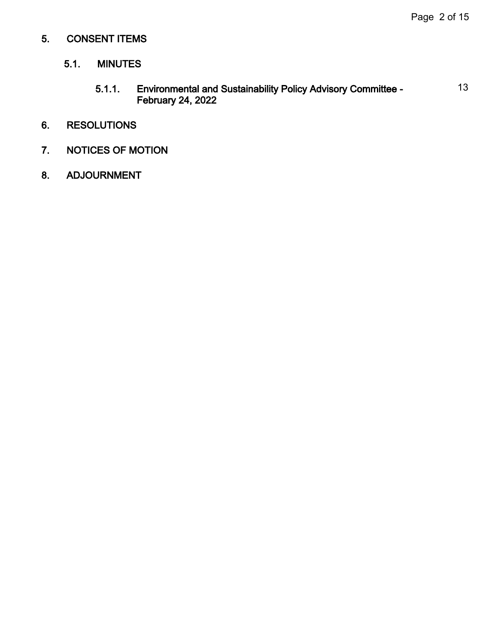## 5. CONSENT ITEMS

### 5.1. MINUTES

5.1.1. Environmental and Sustainability Policy Advisory Committee - February 24, 2022 13

### 6. RESOLUTIONS

- 7. NOTICES OF MOTION
- 8. ADJOURNMENT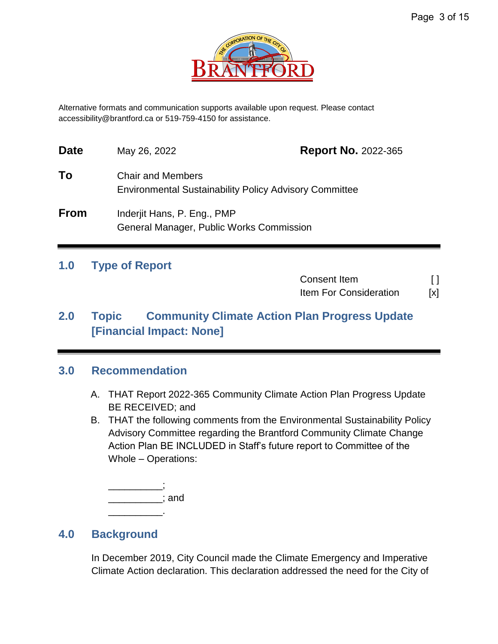

Alternative formats and communication supports available upon request. Please contact accessibility@brantford.ca or 519-759-4150 for assistance.

| <b>Date</b> | May 26, 2022                                                                              | <b>Report No. 2022-365</b> |
|-------------|-------------------------------------------------------------------------------------------|----------------------------|
| To          | <b>Chair and Members</b><br><b>Environmental Sustainability Policy Advisory Committee</b> |                            |
| <b>From</b> | Inderjit Hans, P. Eng., PMP<br>General Manager, Public Works Commission                   |                            |

## **1.0 Type of Report**

Consent Item [ ] Item For Consideration [x]

# **2.0 Topic Community Climate Action Plan Progress Update [Financial Impact: None]**

## **3.0 Recommendation**

- A. THAT Report 2022-365 Community Climate Action Plan Progress Update BE RECEIVED; and
- B. THAT the following comments from the Environmental Sustainability Policy Advisory Committee regarding the Brantford Community Climate Change Action Plan BE INCLUDED in Staff's future report to Committee of the Whole – Operations:

\_\_\_\_\_\_\_\_\_\_; \_\_\_\_\_\_\_\_\_\_; and \_\_\_\_\_\_\_\_\_\_.

## **4.0 Background**

In December 2019, City Council made the Climate Emergency and Imperative Climate Action declaration. This declaration addressed the need for the City of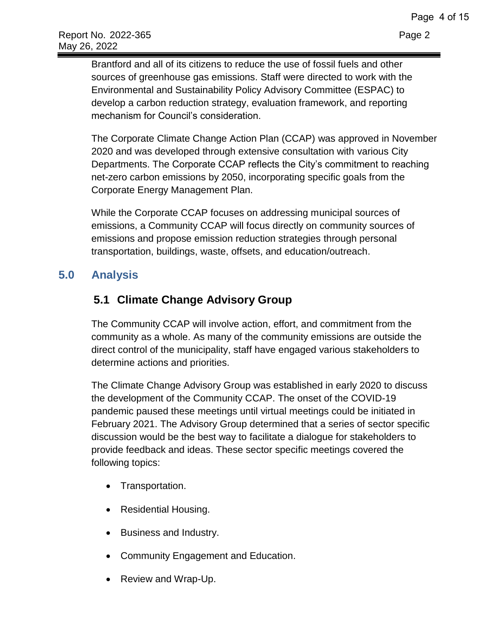Brantford and all of its citizens to reduce the use of fossil fuels and other sources of greenhouse gas emissions. Staff were directed to work with the Environmental and Sustainability Policy Advisory Committee (ESPAC) to develop a carbon reduction strategy, evaluation framework, and reporting mechanism for Council's consideration.

The Corporate Climate Change Action Plan (CCAP) was approved in November 2020 and was developed through extensive consultation with various City Departments. The Corporate CCAP reflects the City's commitment to reaching net-zero carbon emissions by 2050, incorporating specific goals from the Corporate Energy Management Plan.

While the Corporate CCAP focuses on addressing municipal sources of emissions, a Community CCAP will focus directly on community sources of emissions and propose emission reduction strategies through personal transportation, buildings, waste, offsets, and education/outreach.

# **5.0 Analysis**

# **5.1 Climate Change Advisory Group**

The Community CCAP will involve action, effort, and commitment from the community as a whole. As many of the community emissions are outside the direct control of the municipality, staff have engaged various stakeholders to determine actions and priorities.

The Climate Change Advisory Group was established in early 2020 to discuss the development of the Community CCAP. The onset of the COVID-19 pandemic paused these meetings until virtual meetings could be initiated in February 2021. The Advisory Group determined that a series of sector specific discussion would be the best way to facilitate a dialogue for stakeholders to provide feedback and ideas. These sector specific meetings covered the following topics:

- Transportation.
- Residential Housing.
- Business and Industry.
- Community Engagement and Education.
- Review and Wrap-Up.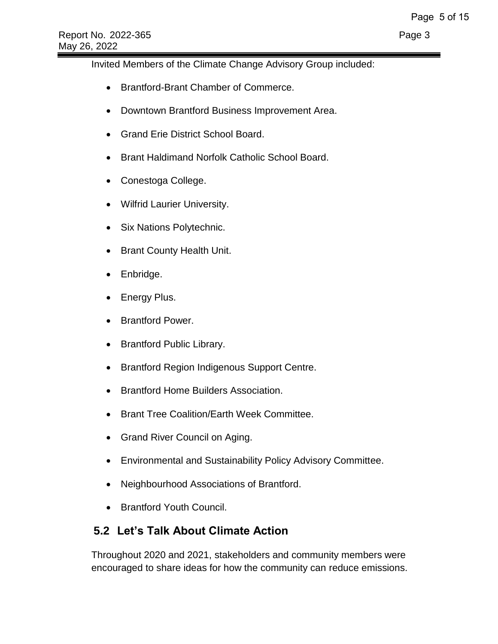Invited Members of the Climate Change Advisory Group included:

- Brantford-Brant Chamber of Commerce.
- Downtown Brantford Business Improvement Area.
- Grand Erie District School Board.
- Brant Haldimand Norfolk Catholic School Board.
- Conestoga College.
- Wilfrid Laurier University.
- Six Nations Polytechnic.
- Brant County Health Unit.
- Enbridge.
- Energy Plus.
- Brantford Power.
- Brantford Public Library.
- Brantford Region Indigenous Support Centre.
- Brantford Home Builders Association.
- Brant Tree Coalition/Earth Week Committee.
- Grand River Council on Aging.
- Environmental and Sustainability Policy Advisory Committee.
- Neighbourhood Associations of Brantford.
- Brantford Youth Council.

# **5.2 Let's Talk About Climate Action**

Throughout 2020 and 2021, stakeholders and community members were encouraged to share ideas for how the community can reduce emissions.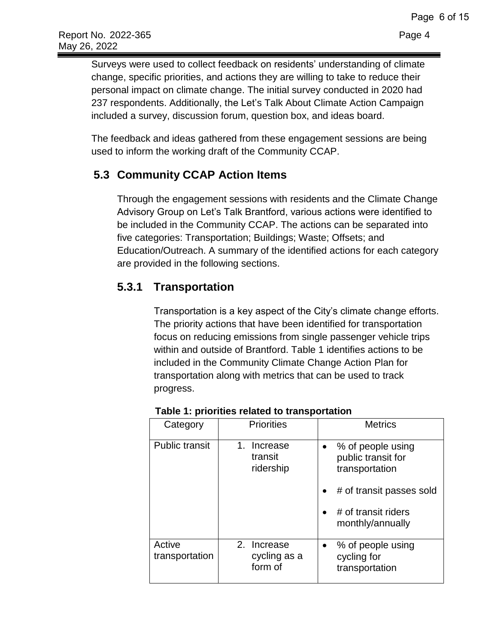Surveys were used to collect feedback on residents' understanding of climate change, specific priorities, and actions they are willing to take to reduce their personal impact on climate change. The initial survey conducted in 2020 had 237 respondents. Additionally, the Let's Talk About Climate Action Campaign included a survey, discussion forum, question box, and ideas board.

The feedback and ideas gathered from these engagement sessions are being used to inform the working draft of the Community CCAP.

# **5.3 Community CCAP Action Items**

Through the engagement sessions with residents and the Climate Change Advisory Group on Let's Talk Brantford, various actions were identified to be included in the Community CCAP. The actions can be separated into five categories: Transportation; Buildings; Waste; Offsets; and Education/Outreach. A summary of the identified actions for each category are provided in the following sections.

# **5.3.1 Transportation**

Transportation is a key aspect of the City's climate change efforts. The priority actions that have been identified for transportation focus on reducing emissions from single passenger vehicle trips within and outside of Brantford. Table 1 identifies actions to be included in the Community Climate Change Action Plan for transportation along with metrics that can be used to track progress.

| Category                 | <b>Priorities</b>                           | <b>Metrics</b>                                                  |
|--------------------------|---------------------------------------------|-----------------------------------------------------------------|
| <b>Public transit</b>    | $1_{-}$<br>Increase<br>transit<br>ridership | % of people using<br>public transit for<br>transportation       |
|                          |                                             | # of transit passes sold                                        |
|                          |                                             | # of transit riders<br>monthly/annually                         |
| Active<br>transportation | 2. Increase<br>cycling as a<br>form of      | % of people using<br>$\bullet$<br>cycling for<br>transportation |

**Table 1: priorities related to transportation**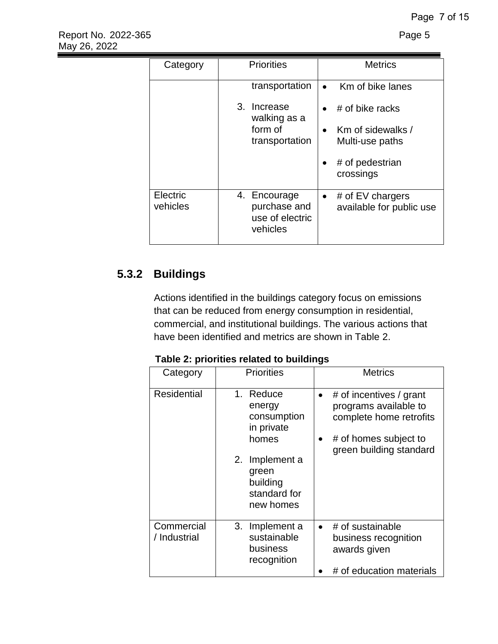| Category             | <b>Priorities</b>                                           | <b>Metrics</b>                                              |
|----------------------|-------------------------------------------------------------|-------------------------------------------------------------|
|                      | transportation                                              | Km of bike lanes<br>$\bullet$                               |
|                      | 3. Increase<br>walking as a                                 | # of bike racks<br>$\bullet$                                |
|                      | form of<br>transportation                                   | Km of sidewalks /<br>$\bullet$<br>Multi-use paths           |
|                      |                                                             | # of pedestrian<br>٠<br>crossings                           |
| Electric<br>vehicles | 4. Encourage<br>purchase and<br>use of electric<br>vehicles | # of $EV$ chargers<br>$\bullet$<br>available for public use |

# **5.3.2 Buildings**

Actions identified in the buildings category focus on emissions that can be reduced from energy consumption in residential, commercial, and institutional buildings. The various actions that have been identified and metrics are shown in Table 2.

**Table 2: priorities related to buildings** 

| Category                   | <b>Priorities</b>                                                                                                             | <b>Metrics</b>                                                                                                                                            |
|----------------------------|-------------------------------------------------------------------------------------------------------------------------------|-----------------------------------------------------------------------------------------------------------------------------------------------------------|
| Residential                | 1. Reduce<br>energy<br>consumption<br>in private<br>homes<br>2. Implement a<br>green<br>building<br>standard for<br>new homes | # of incentives / grant<br>$\bullet$<br>programs available to<br>complete home retrofits<br># of homes subject to<br>$\bullet$<br>green building standard |
| Commercial<br>/ Industrial | 3. Implement a<br>sustainable<br>business<br>recognition                                                                      | # of sustainable<br>$\bullet$<br>business recognition<br>awards given<br># of education materials                                                         |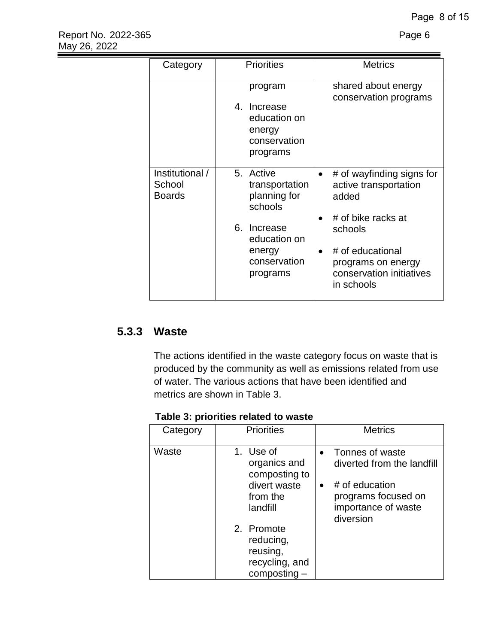| Category                                   | <b>Priorities</b>                                                            | <b>Metrics</b>                                                                              |  |
|--------------------------------------------|------------------------------------------------------------------------------|---------------------------------------------------------------------------------------------|--|
|                                            | program<br>4. Increase<br>education on<br>energy<br>conservation<br>programs | shared about energy<br>conservation programs                                                |  |
| Institutional /<br>School<br><b>Boards</b> | 5. Active<br>transportation<br>planning for<br>schools                       | # of wayfinding signs for<br>active transportation<br>added<br># of bike racks at           |  |
|                                            | 6. Increase<br>education on<br>energy<br>conservation<br>programs            | schools<br># of educational<br>programs on energy<br>conservation initiatives<br>in schools |  |

# **5.3.3 Waste**

The actions identified in the waste category focus on waste that is produced by the community as well as emissions related from use of water. The various actions that have been identified and metrics are shown in Table 3.

**Table 3: priorities related to waste** 

| Category | <b>Priorities</b>                                                       | <b>Metrics</b>                                                                         |
|----------|-------------------------------------------------------------------------|----------------------------------------------------------------------------------------|
| Waste    | 1. Use of<br>organics and<br>composting to                              | Tonnes of waste<br>$\bullet$<br>diverted from the landfill                             |
|          | divert waste<br>from the<br>landfill                                    | # of education<br>$\bullet$<br>programs focused on<br>importance of waste<br>diversion |
|          | 2. Promote<br>reducing,<br>reusing,<br>recycling, and<br>$composting -$ |                                                                                        |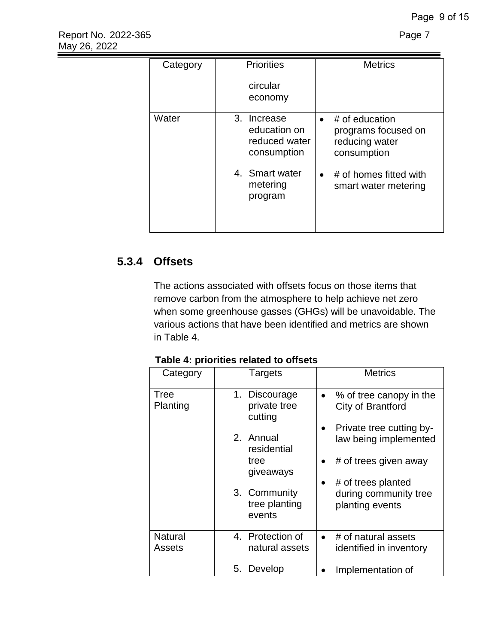| Category | <b>Priorities</b>                                           | <b>Metrics</b>                                                                      |
|----------|-------------------------------------------------------------|-------------------------------------------------------------------------------------|
|          | circular<br>economy                                         |                                                                                     |
| Water    | 3. Increase<br>education on<br>reduced water<br>consumption | # of education<br>$\bullet$<br>programs focused on<br>reducing water<br>consumption |
|          | 4. Smart water<br>metering<br>program                       | # of homes fitted with<br>$\bullet$<br>smart water metering                         |

# **5.3.4 Offsets**

The actions associated with offsets focus on those items that remove carbon from the atmosphere to help achieve net zero when some greenhouse gasses (GHGs) will be unavoidable. The various actions that have been identified and metrics are shown in Table 4.

**Table 4: priorities related to offsets** 

| Category                        | <b>Targets</b>                           | <b>Metrics</b>                                                 |
|---------------------------------|------------------------------------------|----------------------------------------------------------------|
| Tree<br>Planting                | 1. Discourage<br>private tree<br>cutting | % of tree canopy in the<br>$\bullet$<br>City of Brantford      |
|                                 | 2. Annual<br>residential                 | Private tree cutting by-<br>law being implemented              |
|                                 | tree<br>giveaways                        | # of trees given away                                          |
|                                 | 3. Community<br>tree planting<br>events  | # of trees planted<br>during community tree<br>planting events |
| <b>Natural</b><br><b>Assets</b> | 4. Protection of<br>natural assets       | # of natural assets<br>identified in inventory                 |
|                                 | Develop<br>5.                            | Implementation of                                              |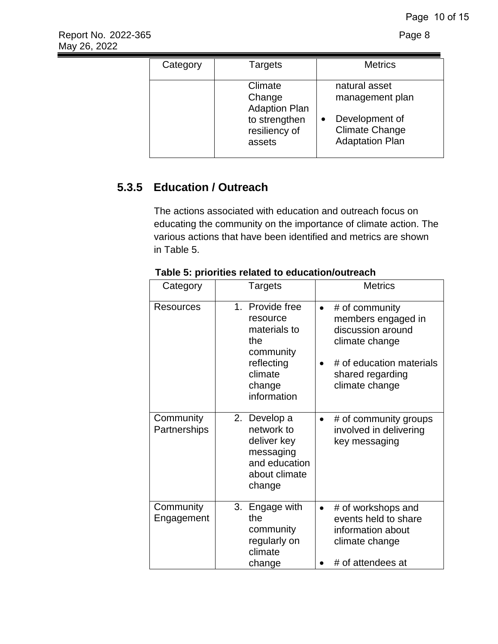| Category | Targets                                                                               | <b>Metrics</b>                                                                                                     |
|----------|---------------------------------------------------------------------------------------|--------------------------------------------------------------------------------------------------------------------|
|          | Climate<br>Change<br><b>Adaption Plan</b><br>to strengthen<br>resiliency of<br>assets | natural asset<br>management plan<br>Development of<br>$\bullet$<br><b>Climate Change</b><br><b>Adaptation Plan</b> |

# **5.3.5 Education / Outreach**

The actions associated with education and outreach focus on educating the community on the importance of climate action. The various actions that have been identified and metrics are shown in Table 5.

| Category                  | Targets                                                                                                           | <b>Metrics</b>                                                                                                                                             |  |
|---------------------------|-------------------------------------------------------------------------------------------------------------------|------------------------------------------------------------------------------------------------------------------------------------------------------------|--|
| Resources                 | 1. Provide free<br>resource<br>materials to<br>the<br>community<br>reflecting<br>climate<br>change<br>information | # of community<br>$\bullet$<br>members engaged in<br>discussion around<br>climate change<br># of education materials<br>shared regarding<br>climate change |  |
| Community<br>Partnerships | 2. Develop a<br>network to<br>deliver key<br>messaging<br>and education<br>about climate<br>change                | # of community groups<br>involved in delivering<br>key messaging                                                                                           |  |
| Community<br>Engagement   | 3. Engage with<br>the<br>community<br>regularly on<br>climate<br>change                                           | # of workshops and<br>events held to share<br>information about<br>climate change<br># of attendees at                                                     |  |

### **Table 5: priorities related to education/outreach**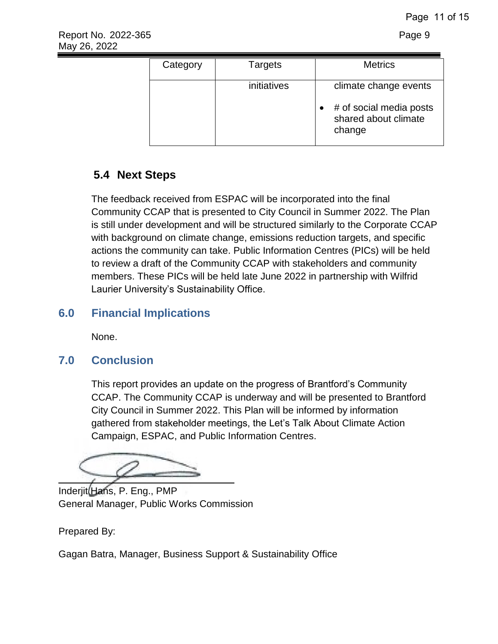| Category | Targets     | <b>Metrics</b>                                                                     |
|----------|-------------|------------------------------------------------------------------------------------|
|          | initiatives | climate change events<br># of social media posts<br>shared about climate<br>change |

# **5.4 Next Steps**

The feedback received from ESPAC will be incorporated into the final Community CCAP that is presented to City Council in Summer 2022. The Plan is still under development and will be structured similarly to the Corporate CCAP with background on climate change, emissions reduction targets, and specific actions the community can take. Public Information Centres (PICs) will be held to review a draft of the Community CCAP with stakeholders and community members. These PICs will be held late June 2022 in partnership with Wilfrid Laurier University's Sustainability Office.

# **6.0 Financial Implications**

None.

# **7.0 Conclusion**

This report provides an update on the progress of Brantford's Community CCAP. The Community CCAP is underway and will be presented to Brantford City Council in Summer 2022. This Plan will be informed by information gathered from stakeholder meetings, the Let's Talk About Climate Action Campaign, ESPAC, and Public Information Centres.

 $\overline{\phantom{a}}$ 

Inderjit Hans, P. Eng., PMP General Manager, Public Works Commission

Prepared By:

Gagan Batra, Manager, Business Support & Sustainability Office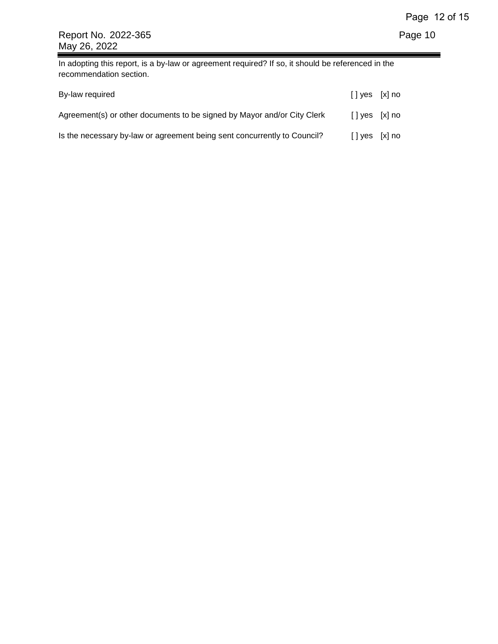In adopting this report, is a by-law or agreement required? If so, it should be referenced in the recommendation section.

| By-law required                                                          | $\lceil \cdot \rceil$ yes $\lceil x \rceil$ no |  |
|--------------------------------------------------------------------------|------------------------------------------------|--|
| Agreement(s) or other documents to be signed by Mayor and/or City Clerk  | $\lceil \cdot \rceil$ yes $\lceil x \rceil$ no |  |
| Is the necessary by-law or agreement being sent concurrently to Council? | $[$ ] yes $[x]$ no                             |  |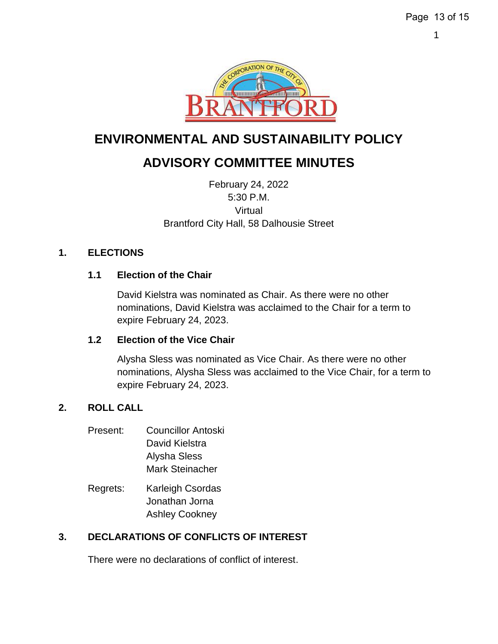

# **ENVIRONMENTAL AND SUSTAINABILITY POLICY**

# **ADVISORY COMMITTEE MINUTES**

February 24, 2022 5:30 P.M. Virtual Brantford City Hall, 58 Dalhousie Street

### **1. ELECTIONS**

### **1.1 Election of the Chair**

David Kielstra was nominated as Chair. As there were no other nominations, David Kielstra was acclaimed to the Chair for a term to expire February 24, 2023.

#### **1.2 Election of the Vice Chair**

Alysha Sless was nominated as Vice Chair. As there were no other nominations, Alysha Sless was acclaimed to the Vice Chair, for a term to expire February 24, 2023.

### **2. ROLL CALL**

- Present: Councillor Antoski David Kielstra Alysha Sless Mark Steinacher
- Regrets: Karleigh Csordas Jonathan Jorna Ashley Cookney

### **3. DECLARATIONS OF CONFLICTS OF INTEREST**

There were no declarations of conflict of interest.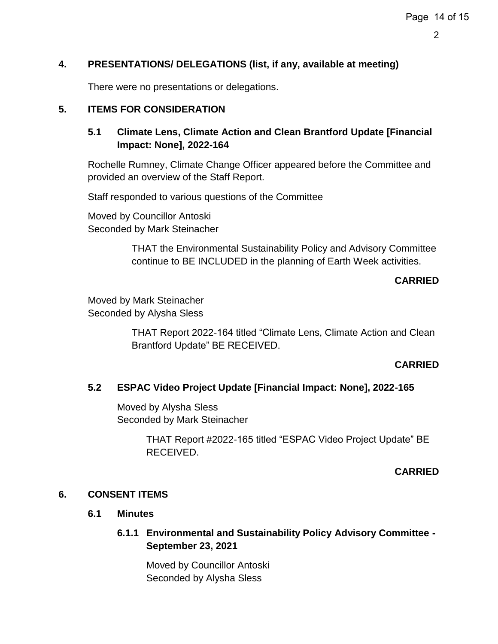### **4. PRESENTATIONS/ DELEGATIONS (list, if any, available at meeting)**

There were no presentations or delegations.

## **5. ITEMS FOR CONSIDERATION**

### **5.1 Climate Lens, Climate Action and Clean Brantford Update [Financial Impact: None], 2022-164**

Rochelle Rumney, Climate Change Officer appeared before the Committee and provided an overview of the Staff Report.

Staff responded to various questions of the Committee

Moved by Councillor Antoski Seconded by Mark Steinacher

> THAT the Environmental Sustainability Policy and Advisory Committee continue to BE INCLUDED in the planning of Earth Week activities.

#### **CARRIED**

Moved by Mark Steinacher Seconded by Alysha Sless

> THAT Report 2022-164 titled "Climate Lens, Climate Action and Clean Brantford Update" BE RECEIVED.

#### **CARRIED**

#### **5.2 ESPAC Video Project Update [Financial Impact: None], 2022-165**

Moved by Alysha Sless Seconded by Mark Steinacher

> THAT Report #2022-165 titled "ESPAC Video Project Update" BE RECEIVED.

#### **CARRIED**

#### **6. CONSENT ITEMS**

#### **6.1 Minutes**

### **6.1.1 Environmental and Sustainability Policy Advisory Committee - September 23, 2021**

Moved by Councillor Antoski Seconded by Alysha Sless